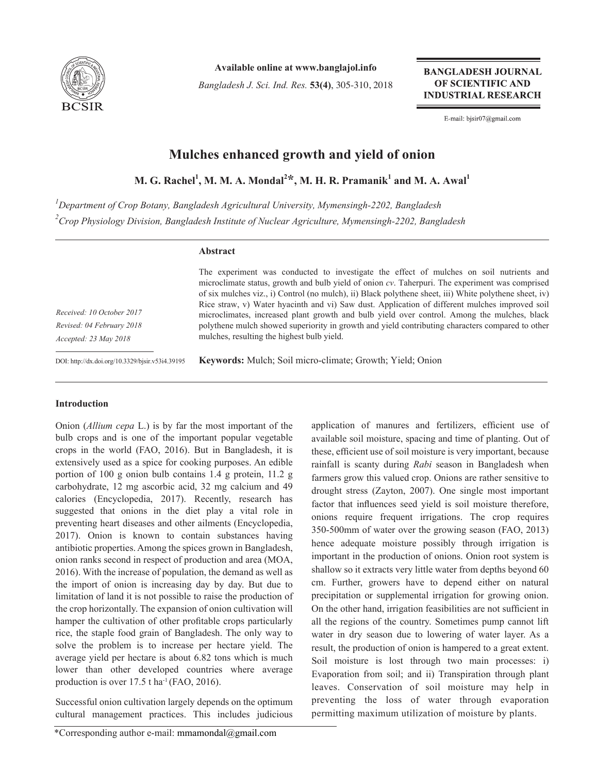

**Available online at www.banglajol.info**

*Bangladesh J. Sci. Ind. Res.* **53(4)**, 305-310, 2018

**BANGLADESH JOURNAL** OF SCIENTIFIC AND **INDUSTRIAL RESEARCH** 

E-mail: bjsir07@gmail.com

# **Mulches enhanced growth and yield of onion**

 $M$ . G. Rachel<sup>1</sup>, M. M. A. Mondal<sup>2\*</sup>, M. H. R. Pramanik<sup>1</sup> and M. A. Awal<sup>1</sup>

*1 Department of Crop Botany, Bangladesh Agricultural University, Mymensingh-2202, Bangladesh 2 Crop Physiology Division, Bangladesh Institute of Nuclear Agriculture, Mymensingh-2202, Bangladesh*

# **Abstract**

*Received: 10 October 2017 Revised: 04 February 2018 Accepted: 23 May 2018*

The experiment was conducted to investigate the effect of mulches on soil nutrients and microclimate status, growth and bulb yield of onion *cv*. Taherpuri. The experiment was comprised of six mulches viz., i) Control (no mulch), ii) Black polythene sheet, iii) White polythene sheet, iv) Rice straw, v) Water hyacinth and vi) Saw dust. Application of different mulches improved soil microclimates, increased plant growth and bulb yield over control. Among the mulches, black polythene mulch showed superiority in growth and yield contributing characters compared to other mulches, resulting the highest bulb yield.

DOI: http://dx.doi.org/10.3329/bjsir.v53i4.39195

**Keywords:** Mulch; Soil micro-climate; Growth; Yield; Onion

### **Introduction**

Onion (*Allium cepa* L.) is by far the most important of the bulb crops and is one of the important popular vegetable crops in the world (FAO, 2016). But in Bangladesh, it is extensively used as a spice for cooking purposes. An edible portion of 100 g onion bulb contains 1.4 g protein, 11.2 g carbohydrate, 12 mg ascorbic acid, 32 mg calcium and 49 calories (Encyclopedia, 2017). Recently, research has suggested that onions in the diet play a vital role in preventing heart diseases and other ailments (Encyclopedia, 2017). Onion is known to contain substances having antibiotic properties. Among the spices grown in Bangladesh, onion ranks second in respect of production and area (MOA, 2016). With the increase of population, the demand as well as the import of onion is increasing day by day. But due to limitation of land it is not possible to raise the production of the crop horizontally. The expansion of onion cultivation will hamper the cultivation of other profitable crops particularly rice, the staple food grain of Bangladesh. The only way to solve the problem is to increase per hectare yield. The average yield per hectare is about 6.82 tons which is much lower than other developed countries where average production is over  $17.5$  t ha<sup>-1</sup> (FAO, 2016).

Successful onion cultivation largely depends on the optimum cultural management practices. This includes judicious

application of manures and fertilizers, efficient use of available soil moisture, spacing and time of planting. Out of these, efficient use of soil moisture is very important, because rainfall is scanty during *Rabi* season in Bangladesh when farmers grow this valued crop. Onions are rather sensitive to drought stress (Zayton, 2007). One single most important factor that influences seed yield is soil moisture therefore, onions require frequent irrigations. The crop requires 350-500mm of water over the growing season (FAO, 2013) hence adequate moisture possibly through irrigation is important in the production of onions. Onion root system is shallow so it extracts very little water from depths beyond 60 cm. Further, growers have to depend either on natural precipitation or supplemental irrigation for growing onion. On the other hand, irrigation feasibilities are not sufficient in all the regions of the country. Sometimes pump cannot lift water in dry season due to lowering of water layer. As a result, the production of onion is hampered to a great extent. Soil moisture is lost through two main processes: i) Evaporation from soil; and ii) Transpiration through plant leaves. Conservation of soil moisture may help in preventing the loss of water through evaporation permitting maximum utilization of moisture by plants.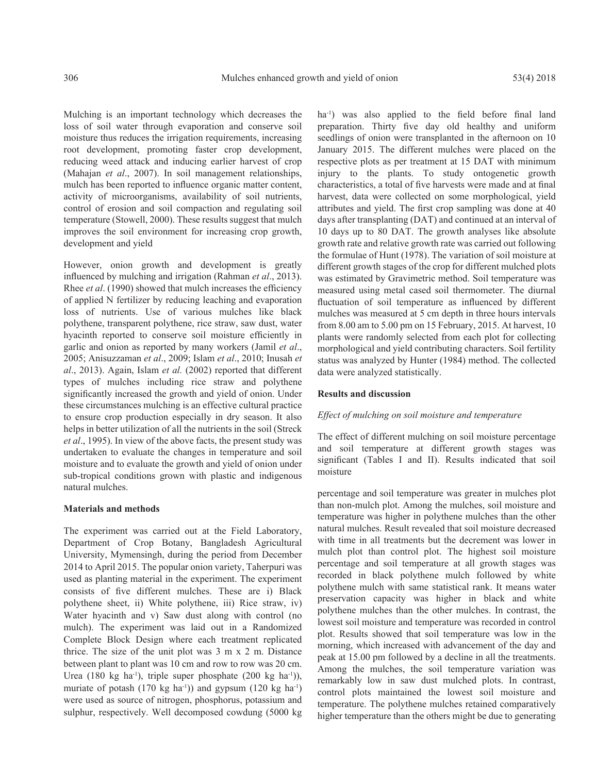Mulching is an important technology which decreases the loss of soil water through evaporation and conserve soil moisture thus reduces the irrigation requirements, increasing root development, promoting faster crop development, reducing weed attack and inducing earlier harvest of crop (Mahajan *et al*., 2007). In soil management relationships, mulch has been reported to influence organic matter content, activity of microorganisms, availability of soil nutrients, control of erosion and soil compaction and regulating soil temperature (Stowell, 2000). These results suggest that mulch improves the soil environment for increasing crop growth, development and yield

However, onion growth and development is greatly influenced by mulching and irrigation (Rahman *et al*., 2013). Rhee *et al*. (1990) showed that mulch increases the efficiency of applied N fertilizer by reducing leaching and evaporation loss of nutrients. Use of various mulches like black polythene, transparent polythene, rice straw, saw dust, water hyacinth reported to conserve soil moisture efficiently in garlic and onion as reported by many workers (Jamil *et al*., 2005; Anisuzzaman *et al*., 2009; Islam *et al*., 2010; Inusah *et al*., 2013). Again, Islam *et al.* (2002) reported that different types of mulches including rice straw and polythene significantly increased the growth and yield of onion. Under these circumstances mulching is an effective cultural practice to ensure crop production especially in dry season. It also helps in better utilization of all the nutrients in the soil (Streck *et al*., 1995). In view of the above facts, the present study was undertaken to evaluate the changes in temperature and soil moisture and to evaluate the growth and yield of onion under sub-tropical conditions grown with plastic and indigenous natural mulches.

#### **Materials and methods**

The experiment was carried out at the Field Laboratory, Department of Crop Botany, Bangladesh Agricultural University, Mymensingh, during the period from December 2014 to April 2015. The popular onion variety, Taherpuri was used as planting material in the experiment. The experiment consists of five different mulches. These are i) Black polythene sheet, ii) White polythene, iii) Rice straw, iv) Water hyacinth and v) Saw dust along with control (no mulch). The experiment was laid out in a Randomized Complete Block Design where each treatment replicated thrice. The size of the unit plot was 3 m x 2 m. Distance between plant to plant was 10 cm and row to row was 20 cm. Urea (180 kg ha<sup>-1</sup>), triple super phosphate (200 kg ha<sup>-1</sup>)), muriate of potash  $(170 \text{ kg } \text{ha}^{-1})$  and gypsum  $(120 \text{ kg } \text{ha}^{-1})$ were used as source of nitrogen, phosphorus, potassium and sulphur, respectively. Well decomposed cowdung (5000 kg

ha<sup>-1</sup>) was also applied to the field before final land preparation. Thirty five day old healthy and uniform seedlings of onion were transplanted in the afternoon on 10 January 2015. The different mulches were placed on the respective plots as per treatment at 15 DAT with minimum injury to the plants. To study ontogenetic growth characteristics, a total of five harvests were made and at final harvest, data were collected on some morphological, yield attributes and yield. The first crop sampling was done at 40 days after transplanting (DAT) and continued at an interval of 10 days up to 80 DAT. The growth analyses like absolute growth rate and relative growth rate was carried out following the formulae of Hunt (1978). The variation of soil moisture at different growth stages of the crop for different mulched plots was estimated by Gravimetric method. Soil temperature was measured using metal cased soil thermometer. The diurnal fluctuation of soil temperature as influenced by different mulches was measured at 5 cm depth in three hours intervals from 8.00 am to 5.00 pm on 15 February, 2015. At harvest, 10 plants were randomly selected from each plot for collecting morphological and yield contributing characters. Soil fertility status was analyzed by Hunter (1984) method. The collected data were analyzed statistically.

#### **Results and discussion**

#### *Effect of mulching on soil moisture and temperature*

The effect of different mulching on soil moisture percentage and soil temperature at different growth stages was significant (Tables I and II). Results indicated that soil moisture

percentage and soil temperature was greater in mulches plot than non-mulch plot. Among the mulches, soil moisture and temperature was higher in polythene mulches than the other natural mulches. Result revealed that soil moisture decreased with time in all treatments but the decrement was lower in mulch plot than control plot. The highest soil moisture percentage and soil temperature at all growth stages was recorded in black polythene mulch followed by white polythene mulch with same statistical rank. It means water preservation capacity was higher in black and white polythene mulches than the other mulches. In contrast, the lowest soil moisture and temperature was recorded in control plot. Results showed that soil temperature was low in the morning, which increased with advancement of the day and peak at 15.00 pm followed by a decline in all the treatments. Among the mulches, the soil temperature variation was remarkably low in saw dust mulched plots. In contrast, control plots maintained the lowest soil moisture and temperature. The polythene mulches retained comparatively higher temperature than the others might be due to generating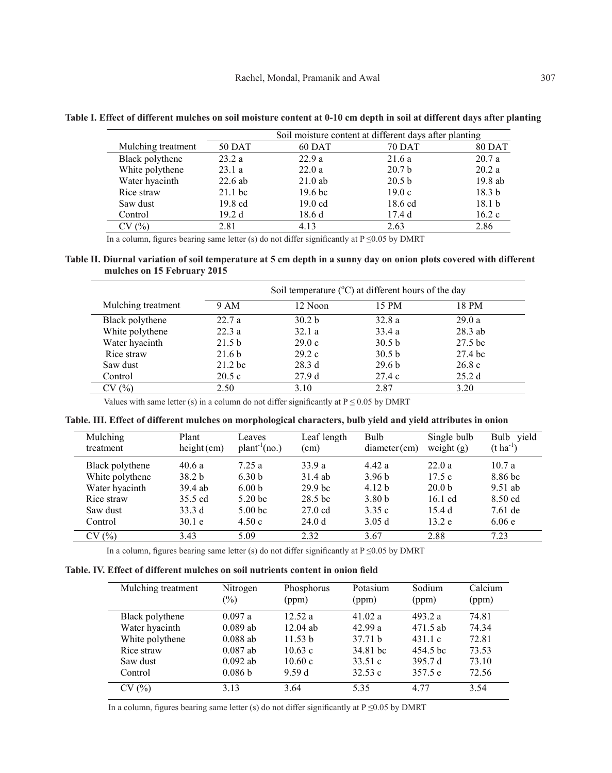|                    |                   | Soil moisture content at different days after planting |                   |                   |  |
|--------------------|-------------------|--------------------------------------------------------|-------------------|-------------------|--|
| Mulching treatment | 50 DAT            | 60 DAT                                                 | <b>70 DAT</b>     | <b>80 DAT</b>     |  |
| Black polythene    | 23.2a             | 22.9a                                                  | 21.6a             | 20.7a             |  |
| White polythene    | 23.1a             | 22.0a                                                  | 20.7 <sub>b</sub> | 20.2a             |  |
| Water hyacinth     | $22.6$ ab         | $21.0$ ab                                              | 20.5 <sub>b</sub> | 19.8 ab           |  |
| Rice straw         | $21.1$ bc         | 19.6 <sub>bc</sub>                                     | 19.0c             | 18.3 <sub>b</sub> |  |
| Saw dust           | $19.8 \text{ cd}$ | $19.0 \text{ cd}$                                      | 18.6 cd           | 18.1 <sub>b</sub> |  |
| Control            | 19.2 d            | 18.6d                                                  | 17.4d             | 16.2c             |  |
| CV (%)             | 2.81              | 4.13                                                   | 2.63              | 2.86              |  |

**Table I. Effect of different mulches on soil moisture content at 0-10 cm depth in soil at different days after planting**

In a column, figures bearing same letter (s) do not differ significantly at P ≤0.05 by DMRT

# **Table II. Diurnal variation of soil temperature at 5 cm depth in a sunny day on onion plots covered with different mulches on 15 February 2015**

|                    | Soil temperature $(^{\circ}C)$ at different hours of the day |                   |                   |                    |  |
|--------------------|--------------------------------------------------------------|-------------------|-------------------|--------------------|--|
| Mulching treatment | 9 AM                                                         | 12 Noon           | 15 PM             | 18 PM              |  |
| Black polythene    | 22.7a                                                        | 30.2 <sub>b</sub> | 32.8a             | 29.0a              |  |
| White polythene    | 22.3a                                                        | 32.1a             | 33.4a             | $28.3$ ab          |  |
| Water hyacinth     | 21.5 <sub>b</sub>                                            | 29.0c             | 30.5 <sub>b</sub> | 27.5 <sub>bc</sub> |  |
| Rice straw         | 21.6 <sub>b</sub>                                            | 29.2c             | 30.5 <sub>b</sub> | 27.4 bc            |  |
| Saw dust           | $21.2$ bc                                                    | 28.3d             | 29.6 <sub>b</sub> | 26.8c              |  |
| Control            | 20.5c                                                        | 27.9d             | 27.4c             | 25.2d              |  |
| CV(%)              | 2.50                                                         | 3.10              | 2.87              | 3.20               |  |

Values with same letter (s) in a column do not differ significantly at  $P \le 0.05$  by DMRT

| Mulching        | Plant             | Leaves             | Leaf length        | Bulb              | Single bulb       | Bulb yield            |
|-----------------|-------------------|--------------------|--------------------|-------------------|-------------------|-----------------------|
| treatment       | height(cm)        | $plant^{-1}(no.)$  | (cm)               | diameter(cm)      | weight $(g)$      | $(t \text{ ha}^{-1})$ |
| Black polythene | 40.6a             | 7.25a              | 33.9 a             | 4.42a             | 22.0a             | 10.7a                 |
| White polythene | 38.2 <sub>b</sub> | 6.30 <sub>b</sub>  | 31.4 ab            | 3.96 <sub>b</sub> | 17.5c             | 8.86 bc               |
| Water hyacinth  | 39.4 ab           | 6.00 <sub>b</sub>  | 29.9 <sub>bc</sub> | 4.12 <sub>b</sub> | 20.0 <sub>b</sub> | $9.51$ ab             |
| Rice straw      | 35.5 cd           | 5.20 <sub>bc</sub> | 28.5 <sub>bc</sub> | 3.80 <sub>b</sub> | $16.1 \text{ cd}$ | 8.50 cd               |
| Saw dust        | 33.3 d            | 5.00 <sub>bc</sub> | $27.0 \text{ cd}$  | 3.35c             | 15.4d             | $7.61$ de             |
| Control         | 30.1 e            | 4.50c              | 24.0 <sub>d</sub>  | 3.05d             | 13.2 e            | 6.06e                 |
| CV(%)           | 3.43              | 5.09               | 2.32               | 3.67              | 2.88              | 7.23                  |

In a column, figures bearing same letter (s) do not differ significantly at  $P \le 0.05$  by DMRT

|  |  |  | Table. IV. Effect of different mulches on soil nutrients content in onion field |  |  |  |  |  |
|--|--|--|---------------------------------------------------------------------------------|--|--|--|--|--|
|--|--|--|---------------------------------------------------------------------------------|--|--|--|--|--|

| Mulching treatment | Nitrogen<br>$(\%)$ | Phosphorus<br>(ppm) | Potasium<br>(ppm) | Sodium<br>(ppm) | Calcium<br>(ppm) |
|--------------------|--------------------|---------------------|-------------------|-----------------|------------------|
| Black polythene    | 0.097a             | 12.52a              | 41.02 a           | 493.2 a         | 74.81            |
| Water hyacinth     | $0.089$ ab         | $12.04$ ab          | 42.99a            | 471.5 ab        | 74.34            |
| White polythene    | $0.088$ ab         | 11.53 b             | 37.71 h           | 431.1c          | 72.81            |
| Rice straw         | $0.087$ ab         | 10.63c              | 34.81 bc          | 454.5 bc        | 73.53            |
| Saw dust           | $0.092$ ab         | 10.60c              | 33.51c            | 395.7 d         | 73.10            |
| Control            | 0.086 b            | 9.59d               | 32.53c            | 357.5 e         | 72.56            |
| CV(%)              | 3 1 3              | 3.64                | 5 3 5             | 4 7 7           | 3.54             |

In a column, figures bearing same letter (s) do not differ significantly at  $P \le 0.05$  by DMRT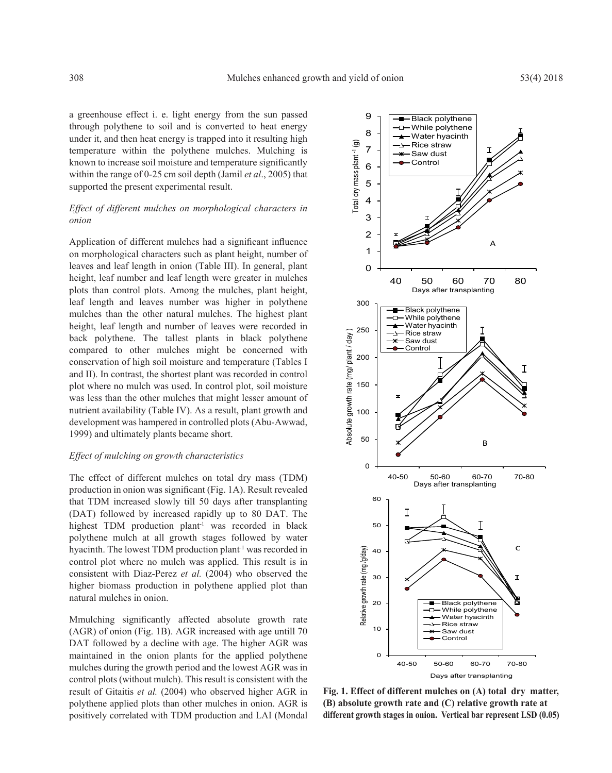a greenhouse effect i. e. light energy from the sun passed through polythene to soil and is converted to heat energy under it, and then heat energy is trapped into it resulting high temperature within the polythene mulches. Mulching is known to increase soil moisture and temperature significantly within the range of 0-25 cm soil depth (Jamil *et al*., 2005) that supported the present experimental result.

# *Effect of different mulches on morphological characters in onion*

Application of different mulches had a significant influence on morphological characters such as plant height, number of leaves and leaf length in onion (Table III). In general, plant height, leaf number and leaf length were greater in mulches plots than control plots. Among the mulches, plant height, leaf length and leaves number was higher in polythene mulches than the other natural mulches. The highest plant height, leaf length and number of leaves were recorded in back polythene. The tallest plants in black polythene compared to other mulches might be concerned with conservation of high soil moisture and temperature (Tables I and II). In contrast, the shortest plant was recorded in control plot where no mulch was used. In control plot, soil moisture was less than the other mulches that might lesser amount of nutrient availability (Table IV). As a result, plant growth and development was hampered in controlled plots (Abu-Awwad, 1999) and ultimately plants became short.

#### *Effect of mulching on growth characteristics*

The effect of different mulches on total dry mass (TDM) production in onion was significant (Fig. 1A). Result revealed that TDM increased slowly till 50 days after transplanting (DAT) followed by increased rapidly up to 80 DAT. The highest TDM production plant<sup>-1</sup> was recorded in black polythene mulch at all growth stages followed by water hyacinth. The lowest TDM production plant<sup>-1</sup> was recorded in control plot where no mulch was applied. This result is in consistent with Diaz-Perez *et al.* (2004) who observed the higher biomass production in polythene applied plot than natural mulches in onion.

Mmulching significantly affected absolute growth rate (AGR) of onion (Fig. 1B). AGR increased with age untill 70 DAT followed by a decline with age. The higher AGR was maintained in the onion plants for the applied polythene mulches during the growth period and the lowest AGR was in control plots (without mulch). This result is consistent with the result of Gitaitis *et al.* (2004) who observed higher AGR in polythene applied plots than other mulches in onion. AGR is positively correlated with TDM production and LAI (Mondal



**Fig. 1. Effect of different mulches on (A) total dry matter, (B) absolute growth rate and (C) relative growth rate at different growth stages in onion. Vertical bar represent LSD (0.05)**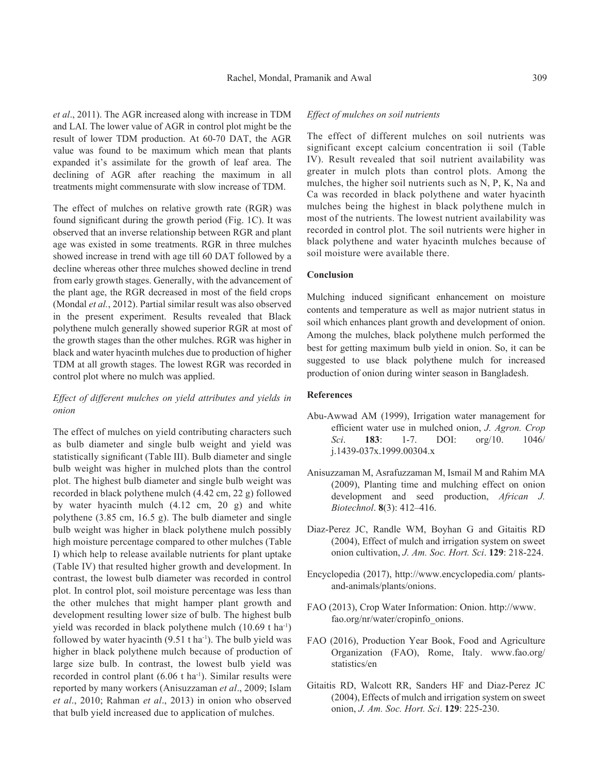*et al*., 2011). The AGR increased along with increase in TDM and LAI. The lower value of AGR in control plot might be the result of lower TDM production. At 60-70 DAT, the AGR value was found to be maximum which mean that plants expanded it's assimilate for the growth of leaf area. The declining of AGR after reaching the maximum in all treatments might commensurate with slow increase of TDM.

The effect of mulches on relative growth rate (RGR) was found significant during the growth period (Fig. 1C). It was observed that an inverse relationship between RGR and plant age was existed in some treatments. RGR in three mulches showed increase in trend with age till 60 DAT followed by a decline whereas other three mulches showed decline in trend from early growth stages. Generally, with the advancement of the plant age, the RGR decreased in most of the field crops (Mondal *et al.*, 2012). Partial similar result was also observed in the present experiment. Results revealed that Black polythene mulch generally showed superior RGR at most of the growth stages than the other mulches. RGR was higher in black and water hyacinth mulches due to production of higher TDM at all growth stages. The lowest RGR was recorded in control plot where no mulch was applied.

# *Effect of different mulches on yield attributes and yields in onion*

The effect of mulches on yield contributing characters such as bulb diameter and single bulb weight and yield was statistically significant (Table III). Bulb diameter and single bulb weight was higher in mulched plots than the control plot. The highest bulb diameter and single bulb weight was recorded in black polythene mulch (4.42 cm, 22 g) followed by water hyacinth mulch (4.12 cm, 20 g) and white polythene (3.85 cm, 16.5 g). The bulb diameter and single bulb weight was higher in black polythene mulch possibly high moisture percentage compared to other mulches (Table I) which help to release available nutrients for plant uptake (Table IV) that resulted higher growth and development. In contrast, the lowest bulb diameter was recorded in control plot. In control plot, soil moisture percentage was less than the other mulches that might hamper plant growth and development resulting lower size of bulb. The highest bulb yield was recorded in black polythene mulch (10.69 t ha<sup>-1</sup>) followed by water hyacinth  $(9.51 \text{ t} \text{ ha}^{-1})$ . The bulb yield was higher in black polythene mulch because of production of large size bulb. In contrast, the lowest bulb yield was recorded in control plant (6.06 t ha<sup>-1</sup>). Similar results were reported by many workers (Anisuzzaman *et al*., 2009; Islam *et al*., 2010; Rahman *et al*., 2013) in onion who observed that bulb yield increased due to application of mulches.

### *Effect of mulches on soil nutrients*

The effect of different mulches on soil nutrients was significant except calcium concentration ii soil (Table IV). Result revealed that soil nutrient availability was greater in mulch plots than control plots. Among the mulches, the higher soil nutrients such as N, P, K, Na and Ca was recorded in black polythene and water hyacinth mulches being the highest in black polythene mulch in most of the nutrients. The lowest nutrient availability was recorded in control plot. The soil nutrients were higher in black polythene and water hyacinth mulches because of soil moisture were available there.

### **Conclusion**

Mulching induced significant enhancement on moisture contents and temperature as well as major nutrient status in soil which enhances plant growth and development of onion. Among the mulches, black polythene mulch performed the best for getting maximum bulb yield in onion. So, it can be suggested to use black polythene mulch for increased production of onion during winter season in Bangladesh.

### **References**

- Abu-Awwad AM (1999), Irrigation water management for efficient water use in mulched onion, *J. Agron. Crop Sci*. **183**: 1-7. DOI: org/10. 1046/ j.1439-037x.1999.00304.x
- Anisuzzaman M, Asrafuzzaman M, Ismail M and Rahim MA (2009), Planting time and mulching effect on onion development and seed production, *African J. Biotechnol*. **8**(3): 412‒416.
- Diaz-Perez JC, Randle WM, Boyhan G and Gitaitis RD (2004), Effect of mulch and irrigation system on sweet onion cultivation, *J. Am. Soc. Hort. Sci*. **129**: 218-224.
- Encyclopedia (2017), http://www.encyclopedia.com/ plantsand-animals/plants/onions.
- FAO (2013), Crop Water Information: Onion. http://www. fao.org/nr/water/cropinfo\_onions.
- FAO (2016), Production Year Book, Food and Agriculture Organization (FAO), Rome, Italy. www.fao.org/ statistics/en
- Gitaitis RD, Walcott RR, Sanders HF and Diaz-Perez JC (2004), Effects of mulch and irrigation system on sweet onion, *J. Am. Soc. Hort. Sci*. **129**: 225-230.